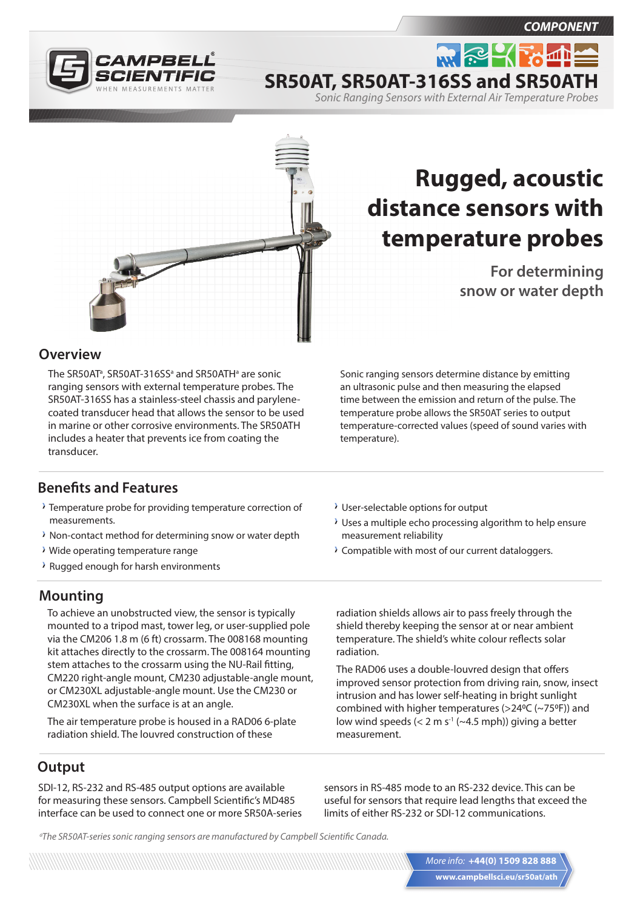*COMPONENT*





# **Rugged, acoustic distance sensors with temperature probes**

**SR50AT, SR50AT-316SS and SR50ATH**

*Sonic Ranging Sensors with External Air Temperature Probes*

 $m \approx 2$ 

**For determining snow or water depth**

### **Overview**

The SR50AT<sup>a</sup>, SR50AT-316SS<sup>a</sup> and SR50ATH<sup>a</sup> are sonic ranging sensors with external temperature probes. The SR50AT-316SS has a stainless-steel chassis and parylenecoated transducer head that allows the sensor to be used in marine or other corrosive environments. The SR50ATH includes a heater that prevents ice from coating the transducer.

Sonic ranging sensors determine distance by emitting an ultrasonic pulse and then measuring the elapsed time between the emission and return of the pulse. The temperature probe allows the SR50AT series to output temperature-corrected values (speed of sound varies with temperature).

## **Benefits and Features**

- Temperature probe for providing temperature correction of measurements.
- $\lambda$  Non-contact method for determining snow or water depth
- Wide operating temperature range
- Rugged enough for harsh environments

## **Mounting**

To achieve an unobstructed view, the sensor is typically mounted to a tripod mast, tower leg, or user-supplied pole via the CM206 1.8 m (6 ft) crossarm. The 008168 mounting kit attaches directly to the crossarm. The 008164 mounting stem attaches to the crossarm using the NU-Rail fitting, CM220 right-angle mount, CM230 adjustable-angle mount, or CM230XL adjustable-angle mount. Use the CM230 or CM230XL when the surface is at an angle.

The air temperature probe is housed in a RAD06 6-plate radiation shield. The louvred construction of these

**Output**

SDI-12, RS-232 and RS-485 output options are available for measuring these sensors. Campbell Scientific's MD485 interface can be used to connect one or more SR50A-series

- User-selectable options for output
- Uses a multiple echo processing algorithm to help ensure measurement reliability
- Compatible with most of our current dataloggers.

radiation shields allows air to pass freely through the shield thereby keeping the sensor at or near ambient temperature. The shield's white colour reflects solar radiation.

The RAD06 uses a double-louvred design that offers improved sensor protection from driving rain, snow, insect intrusion and has lower self-heating in bright sunlight combined with higher temperatures ( $>$ 24°C ( $\sim$ 75°F)) and low wind speeds  $(< 2 \text{ m s}^{-1}$  ( $\sim$ 4.5 mph)) giving a better measurement.

sensors in RS-485 mode to an RS-232 device. This can be useful for sensors that require lead lengths that exceed the limits of either RS-232 or SDI-12 communications.

*a The SR50AT-series sonic ranging sensors are manufactured by Campbell Scientific Canada.*

**www.campbellsci.eu/sr50at/ath** *More info:* **+44(0) 1509 828 888**